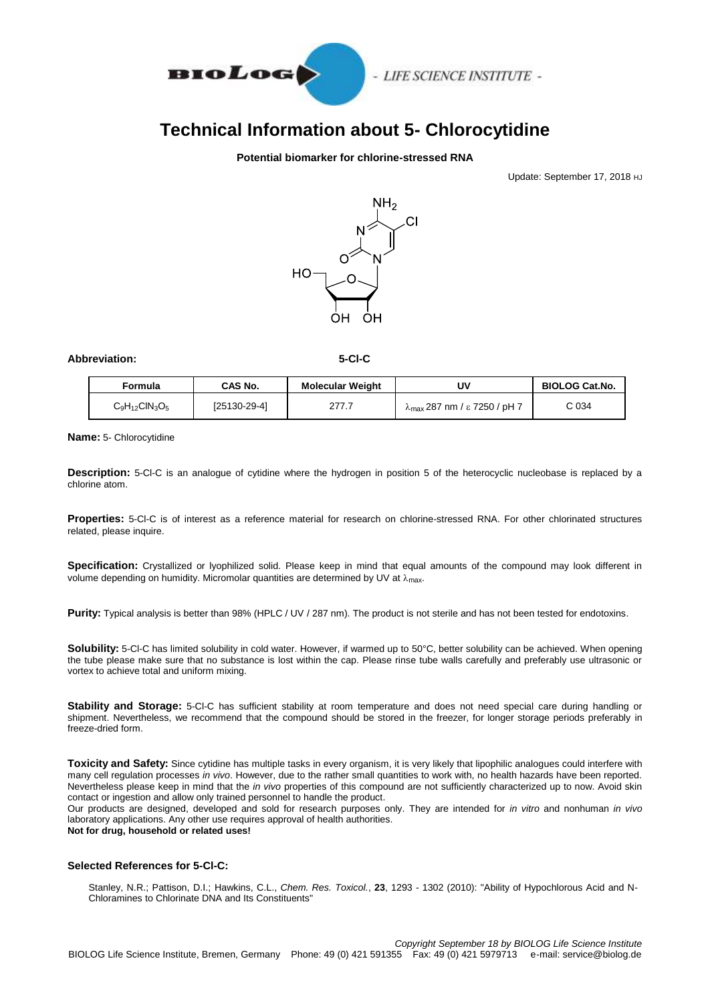

## **Technical Information about 5- Chlorocytidine**

## **Potential biomarker for chlorine-stressed RNA**

Update: September 17, 2018 HJ



## **Abbreviation: 5-Cl-C**

| Formula             | <b>CAS No.</b> | <b>Molecular Weight</b> | U٧                                            | <b>BIOLOG Cat.No.</b>       |
|---------------------|----------------|-------------------------|-----------------------------------------------|-----------------------------|
| $C_9H_{12}CIN_3O_5$ | [25130-29-4]   | 277.7                   | $\lambda_{\text{max}}$ 287 nm / ε 7250 / pH 7 | $\mathbin{\complement} 034$ |

**Name:** 5- Chlorocytidine

**Description:** 5-Cl-C is an analogue of cytidine where the hydrogen in position 5 of the heterocyclic nucleobase is replaced by a chlorine atom.

**Properties:** 5-Cl-C is of interest as a reference material for research on chlorine-stressed RNA. For other chlorinated structures related, please inquire.

**Specification:** Crystallized or lyophilized solid. Please keep in mind that equal amounts of the compound may look different in volume depending on humidity. Micromolar quantities are determined by UV at  $\lambda_{\text{max}}$ .

Purity: Typical analysis is better than 98% (HPLC / UV / 287 nm). The product is not sterile and has not been tested for endotoxins.

**Solubility:** 5-Cl-C has limited solubility in cold water. However, if warmed up to 50°C, better solubility can be achieved. When opening the tube please make sure that no substance is lost within the cap. Please rinse tube walls carefully and preferably use ultrasonic or vortex to achieve total and uniform mixing.

**Stability and Storage:** 5-Cl-C has sufficient stability at room temperature and does not need special care during handling or shipment. Nevertheless, we recommend that the compound should be stored in the freezer, for longer storage periods preferably in freeze-dried form.

**Toxicity and Safety:** Since cytidine has multiple tasks in every organism, it is very likely that lipophilic analogues could interfere with many cell regulation processes *in vivo*. However, due to the rather small quantities to work with, no health hazards have been reported. Nevertheless please keep in mind that the *in vivo* properties of this compound are not sufficiently characterized up to now. Avoid skin contact or ingestion and allow only trained personnel to handle the product.

Our products are designed, developed and sold for research purposes only. They are intended for *in vitro* and nonhuman *in vivo* laboratory applications. Any other use requires approval of health authorities.

**Not for drug, household or related uses!**

## **Selected References for 5-Cl-C:**

Stanley, N.R.; Pattison, D.I.; Hawkins, C.L., *Chem. Res. Toxicol.*, **23**, 1293 - 1302 (2010): "Ability of Hypochlorous Acid and N-Chloramines to Chlorinate DNA and Its Constituents"